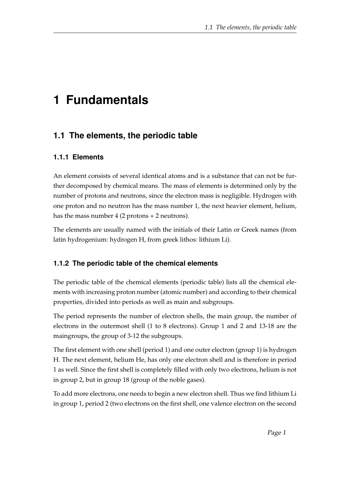## **1 Fundamentals**

## **1.1 The elements, the periodic table**

## **1.1.1 Elements**

An element consists of several identical atoms and is a substance that can not be further decomposed by chemical means. The mass of elements is determined only by the number of protons and neutrons, since the electron mass is negligible. Hydrogen with one proton and no neutron has the mass number 1, the next heavier element, helium, has the mass number 4 (2 protons + 2 neutrons).

The elements are usually named with the initials of their Latin or Greek names (from latin hydrogenium: hydrogen H, from greek lithos: lithium Li).

## **1.1.2 The periodic table of the chemical elements**

The periodic table of the chemical elements (periodic table) lists all the chemical elements with increasing proton number (atomic number) and according to their chemical properties, divided into periods as well as main and subgroups.

The period represents the number of electron shells, the main group, the number of electrons in the outermost shell (1 to 8 electrons). Group 1 and 2 and 13-18 are the maingroups, the group of 3-12 the subgroups.

The first element with one shell (period 1) and one outer electron (group 1) is hydrogen H. The next element, helium He, has only one electron shell and is therefore in period 1 as well. Since the first shell is completely filled with only two electrons, helium is not in group 2, but in group 18 (group of the noble gases).

To add more electrons, one needs to begin a new electron shell. Thus we find lithium Li in group 1, period 2 (two electrons on the first shell, one valence electron on the second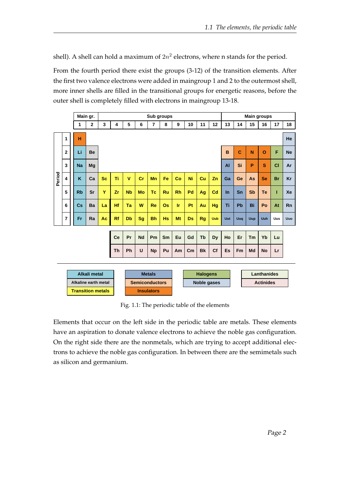shell). A shell can hold a maximum of  $2n^2$  electrons, where n stands for the period.

From the fourth period there exist the groups (3-12) of the transition elements. After the first two valence electrons were added in maingroup 1 and 2 to the outermost shell, more inner shells are filled in the transitional groups for energetic reasons, before the outer shell is completely filled with electrons in maingroup 13-18.

|        |                          |                      | Main gr.  |              |           | Sub groups         |                      |                       |                |           |           |             |                 |                | <b>Main groups</b> |           |                    |           |           |           |
|--------|--------------------------|----------------------|-----------|--------------|-----------|--------------------|----------------------|-----------------------|----------------|-----------|-----------|-------------|-----------------|----------------|--------------------|-----------|--------------------|-----------|-----------|-----------|
|        |                          |                      | 1         | $\mathbf{2}$ | 3         | 4                  | 5                    | 6                     | $\overline{7}$ | 8         | 9         | 10          | 11              | 12             | 13                 | 14        | 15                 | 16        | 17        | 18        |
| Period | 1                        |                      | н         |              |           |                    |                      |                       |                |           |           |             |                 |                |                    |           |                    |           |           | He        |
|        | $\overline{2}$           |                      | Li        | <b>Be</b>    |           | Ć<br>B<br>Si<br>AI |                      |                       |                |           |           |             |                 |                |                    |           | N                  | $\Omega$  | F         | <b>Ne</b> |
|        | 3                        |                      | <b>Na</b> | Mq           |           |                    |                      |                       |                |           |           |             |                 |                |                    |           | P                  | S         | <b>CI</b> | Ar        |
|        | $\overline{\mathbf{4}}$  |                      | K         | Ca           | <b>Sc</b> | Ti                 | $\mathbf{V}$         | cr                    | Mn             | Fe        | Co        | Ni          | Cu              | Zn             | Ga                 | Ge        | As                 | <b>Se</b> | <b>Br</b> | Kr        |
|        | 5                        |                      | <b>Rb</b> | Sr           | Ÿ         | Zr                 | <b>N<sub>b</sub></b> | <b>Mo</b>             | Tc             | <b>Ru</b> | <b>Rh</b> | Pd          | Ag              | C <sub>d</sub> | $\ln$              | Sn        | <b>Sb</b>          | Te        | ī         | Xe        |
|        | 6                        |                      | Cs        | Ba           | La        | Hf                 | Тa                   | W                     | Re             | Os        | <b>Ir</b> | Pt          | Au              | Hg             | Ti                 | <b>Pb</b> | Bi                 | Po        | At        | <b>Rn</b> |
|        | 7                        |                      | <b>Fr</b> | Ra           | Ac        | <b>Rf</b>          | Db                   | <b>Sg</b>             | <b>Bh</b>      | <b>Hs</b> | Mt        | Ds          | Rg              | Uub            | Uut                | Uuq       | Uup                | Uuh       | Uus       | Uuo       |
|        |                          |                      |           |              |           |                    |                      |                       |                |           |           |             |                 |                |                    |           |                    |           |           |           |
|        |                          |                      |           |              |           | Ce                 | Pr                   | <b>Nd</b>             | Pm             | Sm        | Eu        | Gd          | Tb              | Dy             | Ho                 | Er        | Tm                 | Yb        | Lu        |           |
|        |                          |                      |           |              |           | Th                 | Ph                   | U                     | <b>Np</b>      | Pu        | Am        | cm          | <b>Bk</b>       | Cf             | Es                 | Fm        | Md                 | <b>No</b> | Lr        |           |
|        |                          |                      |           |              |           |                    |                      |                       |                |           |           |             |                 |                |                    |           |                    |           |           |           |
|        |                          | <b>Alkali metal</b>  |           |              |           |                    |                      | <b>Metals</b>         |                |           |           |             | <b>Halogens</b> |                |                    |           | <b>Lanthanides</b> |           |           |           |
|        |                          | Alkaline earth metal |           |              |           |                    |                      | <b>Semiconductors</b> |                |           |           | Noble gases |                 |                |                    |           | <b>Actinides</b>   |           |           |           |
|        | <b>Transition metals</b> |                      |           |              |           | <b>Insulators</b>  |                      |                       |                |           |           |             |                 |                |                    |           |                    |           |           |           |

Fig. 1.1: The periodic table of the elements

Elements that occur on the left side in the periodic table are metals. These elements have an aspiration to donate valence electrons to achieve the noble gas configuration. On the right side there are the nonmetals, which are trying to accept additional electrons to achieve the noble gas configuration. In between there are the semimetals such as silicon and germanium.